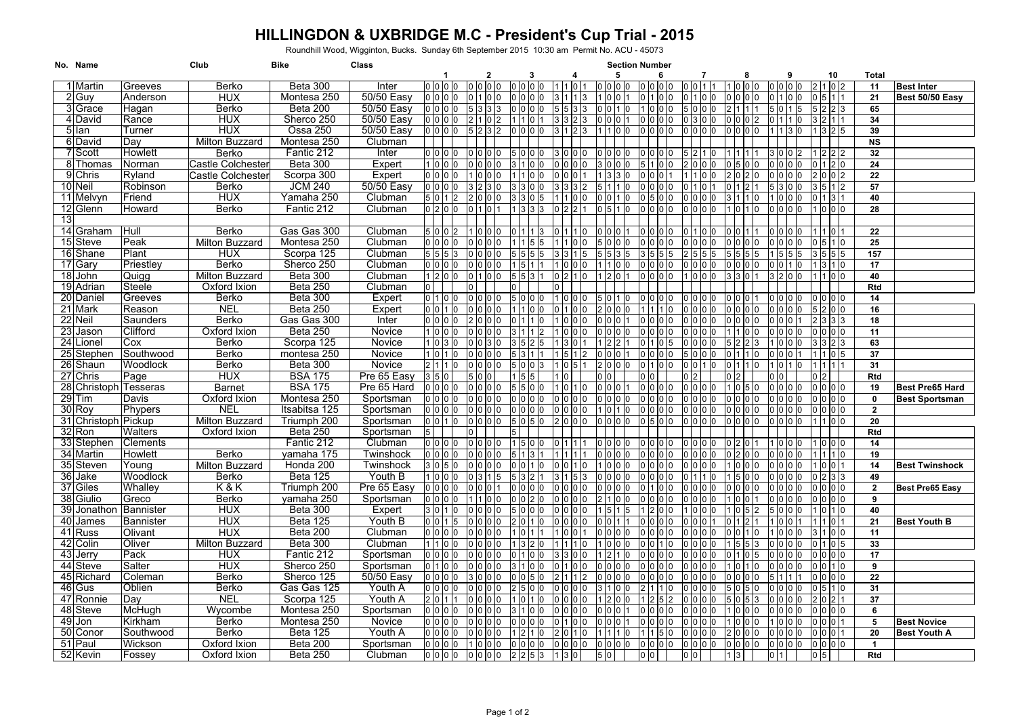## **HILLINGDON & UXBRIDGE M.C - President's Cup Trial - 2015** Roundhill Wood, Wigginton, Bucks. Sunday 6th September 2015 10:30 am Permit No. ACU - 45073

|    | No. Name              |                  | Club                  | Bike                    | Class               |                    |                 |                  |                 |    |                  |                |                | <b>Section Number</b>       |              |                |                     |                 |             |                   |                          |                        |
|----|-----------------------|------------------|-----------------------|-------------------------|---------------------|--------------------|-----------------|------------------|-----------------|----|------------------|----------------|----------------|-----------------------------|--------------|----------------|---------------------|-----------------|-------------|-------------------|--------------------------|------------------------|
|    |                       |                  |                       |                         |                     |                    |                 | 2<br>lo lo lo lo | 0 0 0           |    |                  | 5              |                | 6                           |              |                | 8                   |                 |             |                   | <b>Total</b><br>10       |                        |
|    | 1 Martin              | Greeves          | Berko                 | Beta 300<br>Montesa 250 | Inter<br>50/50 Easy | o lo lo lo<br>0000 |                 |                  |                 |    | 110 <sup>7</sup> | 0000           |                | 0 0 0 0                     | 0011         |                | 1000                |                 |             |                   | 11<br>21                 | <b>Best Inter</b>      |
|    | 2 Guy<br>3 Grace      | Anderson         | <b>HUX</b><br>Berko   | Beta 200                | 50/50 Easy          | , lo lo lo         |                 |                  |                 |    |                  | 10<br>ס (      |                |                             | 0100<br>5000 |                | ∣ IO IO IO<br>211   |                 | $1\,$ 5     | $2\vert 2\vert 3$ | 65                       | Best 50/50 Easy        |
|    | 4 David               | Hagan<br>Rance   | <b>HUX</b>            | Sherco 250              | 50/50 Easy          | ) 10 10 10         |                 |                  |                 |    |                  | n In           |                | 0 0 0<br>In                 | 0 3 0 0      |                | 0 0 0               |                 |             |                   | 34                       |                        |
|    | 5 Ian                 | Turner           | <b>HUX</b>            | Ossa 250                | 50/50 Easy          | 0 <sub>0</sub>     |                 | 5232             | n n             | I٥ |                  | 11 IO IO       |                | 0 0 0 0                     | 0000         |                | 0000                |                 |             | 32                | 39                       |                        |
|    | 6 David               | Day              | Milton Buzzard        | Montesa 250             | Clubman             |                    |                 |                  |                 |    |                  |                |                |                             |              |                |                     |                 |             |                   | <b>NS</b>                |                        |
|    | 7 Scott               | Howlett          | Berko                 | Fantic 212              | Inter               | 0 0 0              | 0 I O           |                  | 0 <sub>0</sub>  |    |                  | 0 0 0 0        |                |                             |              |                |                     |                 |             |                   | 32                       |                        |
|    | 8 Thomas              | Norman           | Castle Colchester     | Beta 300                | Expert              | 0 <sub>0</sub>     | 0 I O           |                  |                 |    |                  | 3 0            |                |                             | 2 10 10 10   |                | 0 15 10 1           |                 |             | 120               | 24                       |                        |
|    | 9 Chris               | Ryland           | Castle Colchesteı     | Scorpa 300              | Expert              | 10 0 10            |                 |                  |                 |    |                  |                |                |                             |              | 0 <sub>0</sub> |                     |                 |             |                   | 22                       |                        |
|    | 10 Neil               | Robinson         | Berko                 | <b>JCM 240</b>          | 50/50 Easy          | 0 <sub>0</sub>     |                 |                  |                 | In |                  |                | 10             | 0<br>$\Omega$               | 1011         |                | 0112                |                 |             |                   | 57                       |                        |
|    | 11 Melvyn             | Friend           | <b>HUX</b>            | Yamaha 250              | Clubman             | 0                  |                 |                  |                 |    |                  | 010            |                | 0 15                        | 0 0 0 0      |                |                     |                 |             |                   | 40                       |                        |
|    | 12 Glenn              | Howard           | <b>Berko</b>          | Fantic 212              | Clubman             | 200                |                 |                  |                 |    |                  | 5 (            | l0             | l0                          | 0000         |                |                     |                 |             |                   | 28                       |                        |
| 13 |                       |                  |                       |                         |                     |                    |                 |                  |                 |    |                  |                |                |                             |              |                |                     |                 |             |                   |                          |                        |
|    | 14 Graham             | Hull             | Berko                 | Gas Gas 300             | Clubman             | 0 <sub>0</sub>     | 110             |                  | 01111           |    |                  | 0 0            |                | 0 <sub>0</sub>              | 01100        |                | 001                 |                 |             |                   | 22                       |                        |
|    | 15 Steve              | Peak             | Milton Buzzard        | Montesa 250             | Clubman             | 0 0 0              | 0 I O           | 0 I O            |                 |    |                  | 5 IO           | 0 <sub>0</sub> | 0 0<br>lo Io                | 0000         |                | 0 0 0 0             |                 |             |                   | 25                       |                        |
|    | 16 Shane              | Plant            | <b>HUX</b>            | Scorpa 125              | Clubman             | 5 5                |                 |                  |                 |    |                  |                |                |                             |              |                | 55                  |                 |             |                   | 157<br>5 5 5             |                        |
|    | 17 Gary               | Priestley        | Berko                 | Sherco 250              | Clubman             | 101010             |                 |                  |                 |    |                  |                |                | חו חו                       | 0000         |                | ) IO IO IO          |                 |             | 3110              | 17                       |                        |
|    | 18 John               | Quiaa            | Milton Buzzard        | Beta 300                | Clubman             | 2000               |                 | 01100            |                 |    |                  |                |                | 0   0   0   0               | 1 0 0 0      |                | 8 13 10 11          |                 |             | 1100              | 40                       |                        |
|    | 19 Adrian             | Steele           | Oxford Ixion          | Beta 250                | Clubman             |                    | 0 l             |                  |                 |    |                  |                |                |                             |              |                |                     |                 |             |                   | Rtd                      |                        |
|    | 20 Daniel             | Greeves          | Berko                 | Beta 300                | Expert              | 0 1 1 0 10         | 0 I O           |                  | 510             |    |                  | 5 10 11        |                | 0 0 0                       | 0 0 0 0      |                | 0 0                 |                 |             |                   | 14                       |                        |
|    | 21 Mark               | Reason           | <b>NEL</b>            | Beta 250                | Expert              | 001                | 0 I O<br>In     |                  |                 |    |                  | I0             |                | $\Omega$                    | 0000         |                | o lo lo lo          |                 |             | 200               | 16                       |                        |
|    | 22 Neil               | Saunders         | Berko                 | Gas Gas 300             | Inter               | 0   0   0   0      |                 |                  |                 |    |                  | 00             |                | 0 0 0<br>ın                 | 0 0 0 0      |                | 0000                |                 |             |                   | $\overline{18}$<br>3 3 3 |                        |
|    | 23 Jason              | Clifford         | Oxford Ixion          | <b>Beta 250</b>         | Novice              | 0 0 0              |                 | o lo lo lo       | 311             |    |                  | 0 0 0 0        |                | 0000                        | 0 0 0 0      |                | 1 1 1 0 10          |                 |             |                   | 11<br>000                |                        |
|    | 24 Lionel             | Cox              | Berko                 | Scorpa 125              | Novice              | 0 <sup>3</sup>     | 0 I O           |                  |                 |    |                  |                |                |                             | o lo lo lo   |                |                     |                 |             |                   | 63                       |                        |
|    | 25 Stephen            | Southwood        | Berko                 | montesa 250             | Novice              | 0 <sup>11</sup>    | 0 I O           |                  | 5 3 1           |    |                  | ) IO           |                |                             | 5000         |                |                     |                 |             |                   | 37                       |                        |
|    | 26 Shaun              | Woodlock         | Berko                 | Beta 300                | Novice              | 211                | 00              |                  | 0 <sup>10</sup> |    |                  | 2 0            |                |                             | 0 0 1 0      |                | 0 1 1 0             |                 |             |                   | 31                       |                        |
|    | 27 Chris              | Page             | <b>HUX</b>            | <b>BSA 175</b>          | Pre 65 Easy         | 50                 |                 | 5 10 10          |                 |    |                  | ס כ            |                | ) IO                        |              | 02             |                     |                 |             |                   | Rtd                      |                        |
|    | 28 Christoph Tesseras |                  | <b>Barnet</b>         | <b>BSA 175</b>          | Pre 65 Hard         | 0 <sub>0</sub>     |                 | o lo lo lo       | 5 5 0 0         |    | 1011             | 0 <sub>0</sub> |                | 0 0 0 0                     | 0 0 0 0      |                | 105                 |                 |             | 0 <sub>0</sub>    | 19                       | <b>Best Pre65 Hard</b> |
|    | $29$ Tim              | Davis            | Oxford Ixion          | Montesa 250             | Sportsman           | 000                | 0 I O           |                  |                 |    | 10               | 0 0 0 0        |                | 0 0 0                       | 0 0 0 0      |                | 0 O O               |                 |             | 000               | $\mathbf{0}$             | <b>Best Sportsman</b>  |
|    | 30 Roy                | Phypers          | <b>NEL</b>            | Itsabitsa 125           | Sportsman           | 0 <sub>0</sub>     |                 |                  |                 | 10 |                  | $\overline{0}$ | $\overline{0}$ | 0 <sup>10</sup><br>$\Omega$ | 0 0 0 0      |                | o lo lo lo          |                 |             |                   | $\overline{2}$<br>10 IO  |                        |
|    | 31 Christoph Pickup   |                  | Milton Buzzard        | Triumph 200             | Sportsman           | l 0 l 1            | ı٥              | o lo lo lo       | O 15            |    | I٥               | 0000           |                | <u>າ I5 IO IO</u>           | 0 0 0 0      |                | 0 0 0 0             |                 |             | 1100              | 20                       |                        |
|    | 32 Ron                | Walters          | Oxford Ixion          | <b>Beta 250</b>         | Sportsman           |                    | n I             |                  |                 |    |                  |                |                |                             |              |                |                     |                 |             |                   | Rtd                      |                        |
|    | 33 Stephen            | Clements         |                       | Fantic 212              | Clubman             | 0 <sub>0</sub>     |                 | o lo lo lo       | $1\,5\,0$       |    | ) I 1 I 1        | 0000           |                | 0000                        | 0000         |                | 0 2 10 1            |                 | 10 IO IO    |                   | 14<br>lo Ic              |                        |
|    | 34 Martin             | Howlett          | Berko                 | vamaha 175              | Twinshock           | 0 <sub>0</sub>     | 0 כ             |                  |                 |    |                  | ס (            | 10 IO          | 0 <sup>10</sup>             | 0 0 0 0      |                | ا 10 ا (            |                 |             |                   | 19                       |                        |
|    | 35 Steven             | Young            | <b>Milton Buzzard</b> | Honda 200               | Twinshock           | 0                  |                 |                  |                 |    |                  |                |                |                             | 0000         |                | 0 0                 |                 |             |                   | 14                       | <b>Best Twinshock</b>  |
|    | 36 Jake               | Woodlock         | Berko                 | <b>Beta 125</b>         | Youth B             | 0 <sub>0</sub>     | 03              |                  |                 |    |                  | 0 0 0 0        |                | 10 0 10                     | 0 1 1 1 0    |                | 151010              |                 |             | 23                | 49                       |                        |
|    | 37 Giles              | Whallev          | K & K                 | Triumph 200             | Pre 65 Easy         | 000                | 0 I O           |                  | 0 <sub>0</sub>  |    |                  | 0 I O          |                |                             | 0000         |                | 0 0 0               |                 |             | 0 0 0             | $\mathbf{2}$             | Best Pre65 Easy        |
|    | 38 Giulio             | Greco            | Berko                 | vamaha 250              | Sportsman           | 0 <sub>0</sub>     |                 |                  |                 |    |                  |                | 10 IO          |                             | 0000         |                | 0 <sub>0</sub>      |                 |             | $00$ (            | 9                        |                        |
|    | 39 Jonathon           | <b>Bannister</b> | HUX                   | Beta 300                | Expert              | 301                | I٥              | o lo lo lo       | 0 <sub>0</sub>  |    |                  | 15             |                | In                          | 1000         |                | $0\vert 5$          |                 |             | 0110              | 40                       |                        |
|    | 40 James              | Bannister        | <b>HUX</b>            | <b>Beta 125</b>         | Youth B             | n In In            |                 |                  |                 |    |                  |                |                |                             | 010101       |                |                     |                 |             |                   | 21                       | <b>Best Youth B</b>    |
|    | 41 Russ               | Olivant          | <b>HUX</b>            | Beta 200                | Clubman             | i lo lo lo         |                 | o lo lo lo       |                 |    |                  | 0 0 0 0        |                | 0 0 0 0                     | 0 0 0 0      |                | 0 0 1 0             |                 |             |                   | 100<br>11                |                        |
|    | 42 Colin              | Oliver           | <b>Milton Buzzard</b> | Beta 300                | Clubman             | 100                | 0 I O           |                  |                 |    |                  | l0             |                | 0 0                         | 0000         |                | $5 \vert 5 \vert 3$ |                 |             | 105               | 33                       |                        |
|    | 43 Jerry              | Pack             | <b>HUX</b>            | Fantic 212              | Sportsman           | 0 <sub>0</sub>     |                 |                  |                 |    |                  |                |                |                             | 0000         |                |                     |                 |             |                   | 17                       |                        |
|    | 44 Steve              | Salter           | <b>HUX</b>            | Sherco 250              | Sportsman           | 0 1 1 0 1          | 0 I O           |                  |                 |    |                  | n In           |                | 0 IO IO                     | 0 0 0 0      |                | 0110                |                 |             |                   | 9                        |                        |
|    | 45 Richard            | Coleman          | Berko                 | Sherco 125              | 50/50 Easy          | 0 <sub>0</sub>     |                 | 3 IO IO IO       |                 |    |                  | 0 I O          |                | 0 0 0                       | 0000         |                | o lo lo lo          |                 |             | 000               | 22                       |                        |
|    | 46 Gus                | Oblien           | Berko                 | Gas Gas 125             | Youth A             | 0 <sub>0</sub>     | 0 <sup>10</sup> | n <sub>0</sub>   | 2 5 0 0         |    |                  |                | 0 <sub>0</sub> | $\Omega$                    | 0 0 0 0      |                | 505                 |                 |             |                   | 31                       |                        |
|    | 47 Ronnie             | Dav              | <b>NEL</b>            | Scorpa 125              | Youth A             | 0 1                | ס כ             |                  |                 |    |                  |                |                |                             | ) 10 10 10   |                | i 10 15             |                 |             | 0 2               | 37                       |                        |
|    | 48 Steve              | McHugh           | Wycombe               | Montesa 250             | Sportsman           | 10 IO IO           |                 |                  |                 | I٥ |                  | 0 I O          |                | 000<br>I٥                   | 0 0 0 0      |                | 000                 |                 |             | 0 0 0             | 6                        |                        |
|    | 49 Jon                | <b>Kirkham</b>   | Berko                 | Montesa 250             | Novice              | olololo            | 0 I O           |                  |                 |    |                  | 0 0            |                | 0 10 10 10                  | 0000         |                | 10 IO               |                 |             |                   | 5                        | <b>Best Novice</b>     |
|    | 50 Conor              | Southwood        | Berko                 | <b>Beta 125</b>         | Youth A             | o lo lo lo         |                 | o lo lo lo       | 12              |    |                  | 111            | In             | $\Omega$                    | 0 0 0 0      |                | 2000                |                 | 0000        | 0001              | 20                       | <b>Best Youth A</b>    |
|    | 51 Paul               | Wickson          | Oxford Ixion          | Beta 200                | Sportsman           | 0 <sub>0</sub>     |                 | 1000             | 0000            |    | 10<br>10         | 0000           |                | 0000                        | 0 0 0 0      |                | 0 0 0 0             |                 | 10 10 10 10 | 00000             | $\blacktriangleleft$     |                        |
|    | 52 Kevin              | Fossey           | Oxford Ixion          | <b>Beta 250</b>         | Clubman             | 0 0 0              |                 | 0000             | $2 \ 2 \ 5 \ 3$ |    | 130              | 5 0            |                | 0 <sub>0</sub>              | 0 0          | 13             |                     | 0 <sup>11</sup> |             |                   | Rtd                      |                        |